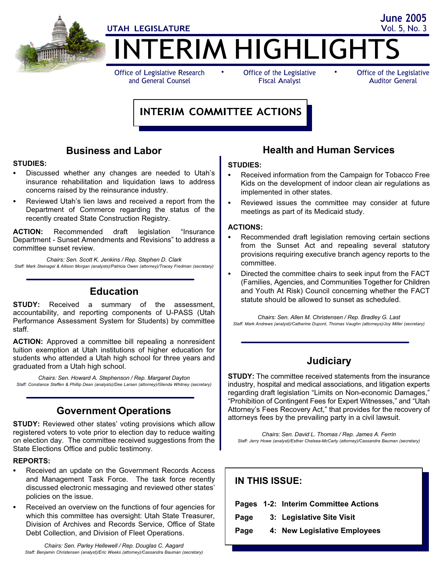

Office of Legislative Research and General Counsel

Fiscal Analyst

Office of the Legislative Auditor General

# INTERIM COMMITTEE ACTIONS

# Business and Labor

# STUDIES:

- Discussed whether any changes are needed to Utah's insurance rehabilitation and liquidation laws to address concerns raised by the reinsurance industry.
- Reviewed Utah's lien laws and received a report from the Department of Commerce regarding the status of the recently created State Construction Registry.

ACTION: Recommended draft legislation "Insurance Department − Sunset Amendments and Revisions" to address a committee sunset review.

Chairs: Sen. Scott K. Jenkins / Rep. Stephen D. Clark Staff: Mark Steinagel & Allison Morgan (analysts)/Patricia Owen (attorney)/Tracey Fredman (secretary)

# Education

**STUDY:** Received a summary of the assessment, accountability, and reporting components of U−PASS (Utah Performance Assessment System for Students) by committee staff.

ACTION: Approved a committee bill repealing a nonresident tuition exemption at Utah institutions of higher education for students who attended a Utah high school for three years and graduated from a Utah high school.

Chairs: Sen. Howard A. Stephenson / Rep. Margaret Dayton Staff: Constance Steffen & Phillip Dean (analysts)/Dee Larsen (attorney)/Glenda Whitney (secretary)

# Government Operations

STUDY: Reviewed other states' voting provisions which allow registered voters to vote prior to election day to reduce waiting on election day. The committee received suggestions from the State Elections Office and public testimony.

# REPORTS:

- Received an update on the Government Records Access and Management Task Force. The task force recently discussed electronic messaging and reviewed other states' policies on the issue.
- Received an overview on the functions of four agencies for which this committee has oversight: Utah State Treasurer, Division of Archives and Records Service, Office of State Debt Collection, and Division of Fleet Operations.

Chairs: Sen. Parley Hellewell / Rep. Douglas C. Aagard Staff: Benjamin Christensen (analyst)/Eric Weeks (attorney)/Cassandra Bauman (secretary)

### Health and Human Services

# STUDIES:

- Received information from the Campaign for Tobacco Free Kids on the development of indoor clean air regulations as implemented in other states.
- Reviewed issues the committee may consider at future meetings as part of its Medicaid study.

# ACTIONS:

- Recommended draft legislation removing certain sections from the Sunset Act and repealing several statutory provisions requiring executive branch agency reports to the committee.
- Directed the committee chairs to seek input from the FACT (Families, Agencies, and Communities Together for Children and Youth At Risk) Council concerning whether the FACT statute should be allowed to sunset as scheduled.

Chairs: Sen. Allen M. Christensen / Rep. Bradley G. Last Staff: Mark Andrews (analyst)/Catherine Dupont, Thomas Vaughn (attorneys)/Joy Miller (secretary)

# **Judiciary**

STUDY: The committee received statements from the insurance industry, hospital and medical associations, and litigation experts regarding draft legislation "Limits on Non-economic Damages," "Prohibition of Contingent Fees for Expert Witnesses," and "Utah Attorney's Fees Recovery Act," that provides for the recovery of attorneys fees by the prevailing party in a civil lawsuit.

Chairs: Sen. David L. Thomas / Rep. James A. Ferrin Staff: Jerry Howe (analyst)/Esther Chelsea−McCarty (attorney)/Cassandra Bauman (secretary)

| <b>IN THIS ISSUE:</b> |  |                                      |
|-----------------------|--|--------------------------------------|
|                       |  | Pages 1-2: Interim Committee Actions |
| Page                  |  | 3: Legislative Site Visit            |
|                       |  | Page 4: New Legislative Employees    |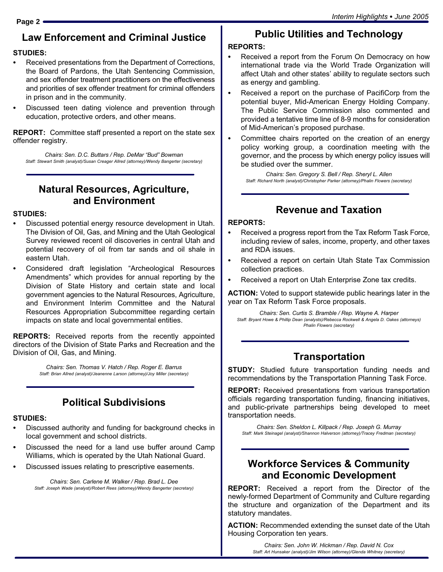# Law Enforcement and Criminal Justice

# STUDIES:

- Received presentations from the Department of Corrections, the Board of Pardons, the Utah Sentencing Commission, and sex offender treatment practitioners on the effectiveness and priorities of sex offender treatment for criminal offenders in prison and in the community.
- Discussed teen dating violence and prevention through education, protective orders, and other means.

REPORT: Committee staff presented a report on the state sex offender registry.

Chairs: Sen. D.C. Buttars / Rep. DeMar "Bud" Bowman Staff: Stewart Smith (analyst)/Susan Creager Allred (attorney)/Wendy Bangerter (secretary)

# Natural Resources, Agriculture, and Environment

# STUDIES:

- Discussed potential energy resource development in Utah. The Division of Oil, Gas, and Mining and the Utah Geological Survey reviewed recent oil discoveries in central Utah and potential recovery of oil from tar sands and oil shale in eastern Utah.
- Considered draft legislation "Archeological Resources Amendments" which provides for annual reporting by the Division of State History and certain state and local government agencies to the Natural Resources, Agriculture, and Environment Interim Committee and the Natural Resources Appropriation Subcommittee regarding certain impacts on state and local governmental entities.

**REPORTS:** Received reports from the recently appointed directors of the Division of State Parks and Recreation and the Division of Oil, Gas, and Mining.

> Chairs: Sen. Thomas V. Hatch / Rep. Roger E. Barrus Staff: Brian Allred (analyst)/Jeanenne Larson (attorney)/Joy Miller (secretary)

# Political Subdivisions

# STUDIES:

- Discussed authority and funding for background checks in local government and school districts.
- Discussed the need for a land use buffer around Camp Williams, which is operated by the Utah National Guard.
- Discussed issues relating to prescriptive easements.

Chairs: Sen. Carlene M. Walker / Rep. Brad L. Dee Staff: Joseph Wade (analyst)/Robert Rees (attorney)/Wendy Bangerter (secretary)

# Public Utilities and Technology

# REPORTS:

- Received a report from the Forum On Democracy on how international trade via the World Trade Organization will affect Utah and other states' ability to regulate sectors such as energy and gambling.
- Received a report on the purchase of PacifiCorp from the potential buyer, Mid−American Energy Holding Company. The Public Service Commission also commented and provided a tentative time line of 8−9 months for consideration of Mid−American´s proposed purchase.
- Committee chairs reported on the creation of an energy policy working group, a coordination meeting with the governor, and the process by which energy policy issues will be studied over the summer.

Chairs: Sen. Gregory S. Bell / Rep. Sheryl L. Allen Staff: Richard North (analyst)/Christopher Parker (attorney)/Phalin Flowers (secretary)

# Revenue and Taxation

# REPORTS:

- Received a progress report from the Tax Reform Task Force, including review of sales, income, property, and other taxes and RDA issues.
- Received a report on certain Utah State Tax Commission collection practices.
- Received a report on Utah Enterprise Zone tax credits.

ACTION: Voted to support statewide public hearings later in the year on Tax Reform Task Force proposals.

Chairs: Sen. Curtis S. Bramble / Rep. Wayne A. Harper Staff: Bryant Howe & Phillip Dean (analysts)/Rebecca Rockwell & Angela D. Oakes (attorneys) Phalin Flowers (secretary)

# **Transportation**

STUDY: Studied future transportation funding needs and recommendations by the Transportation Planning Task Force.

REPORT: Received presentations from various transportation officials regarding transportation funding, financing initiatives, and public−private partnerships being developed to meet transportation needs.

Chairs: Sen. Sheldon L. Killpack / Rep. Joseph G. Murray Staff: Mark Steinagel (analyst)/Shannon Halverson (attorney)/Tracey Fredman (secretary)

### Workforce Services & Community and Economic Development

REPORT: Received a report from the Director of the newly−formed Department of Community and Culture regarding the structure and organization of the Department and its statutory mandates.

ACTION: Recommended extending the sunset date of the Utah Housing Corporation ten years.

> Chairs: Sen. John W. Hickman / Rep. David N. Cox Staff: Art Hunsaker (analyst)/Jim Wilson (attorney)/Glenda Whitney (secretary)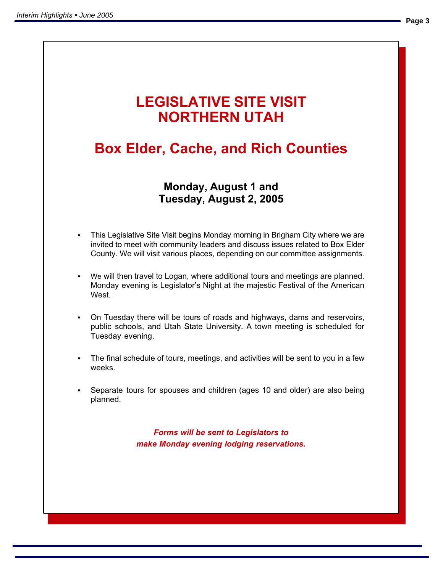# LEGISLATIVE SITE VISIT NORTHERN UTAH

# Box Elder, Cache, and Rich Counties

# Monday, August 1 and Tuesday, August 2, 2005

- County. We will visit various places, depending on our committee assignments. This Legislative Site Visit begins Monday morning in Brigham City where we are invited to meet with community leaders and discuss issues related to Box Elder
- We will then travel to Logan, where additional tours and meetings are planned. Monday evening is Legislator's Night at the majestic Festival of the American West
- On Tuesday there will be tours of roads and highways, dams and reservoirs, public schools, and Utah State University. A town meeting is scheduled for Tuesday evening.
	- The final schedule of tours, meetings, and activities will be sent to you in a few weeks.
	- Separate tours for spouses and children (ages 10 and older) are also being planned.

Forms will be sent to Legislators to make Monday evening lodging reservations.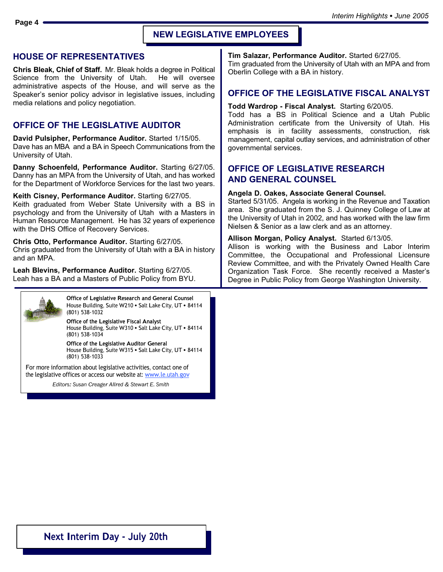### HOUSE OF REPRESENTATIVES

Chris Bleak, Chief of Staff. Mr. Bleak holds a degree in Political Science from the University of Utah. He will oversee administrative aspects of the House, and will serve as the Speaker's senior policy advisor in legislative issues, including media relations and policy negotiation.

### OFFICE OF THE LEGISLATIVE AUDITOR

David Pulsipher, Performance Auditor. Started 1/15/05. Dave has an MBA and a BA in Speech Communications from the University of Utah.

Danny Schoenfeld, Performance Auditor. Starting 6/27/05. Danny has an MPA from the University of Utah, and has worked for the Department of Workforce Services for the last two years.

Keith Cisney, Performance Auditor. Starting 6/27/05. Keith graduated from Weber State University with a BS in psychology and from the University of Utah with a Masters in Human Resource Management. He has 32 years of experience with the DHS Office of Recovery Services.

Chris Otto, Performance Auditor. Starting 6/27/05. Chris graduated from the University of Utah with a BA in history and an MPA.

Leah Blevins, Performance Auditor. Starting 6/27/05. Leah has a BA and a Masters of Public Policy from BYU.



Office of Legislative Research and General Counsel House Building, Suite W210 · Salt Lake City, UT · 84114 (801) 538−1032

Office of the Legislative Fiscal Analyst House Building, Suite W310 • Salt Lake City, UT • 84114 (801) 538−1034

Office of the Legislative Auditor General House Building, Suite W315 . Salt Lake City, UT . 84114 (801) 538−1033

For more information about legislative activities, contact one of the legislative offices or access our website at: www.le.utah.gov

Editors: Susan Creager Allred & Stewart E. Smith

Tim Salazar, Performance Auditor. Started 6/27/05.

Tim graduated from the University of Utah with an MPA and from Oberlin College with a BA in history.

### OFFICE OF THE LEGISLATIVE FISCAL ANALYST

#### Todd Wardrop − Fiscal Analyst. Starting 6/20/05.

Todd has a BS in Political Science and a Utah Public Administration certificate from the University of Utah. His emphasis is in facility assessments, construction, risk management, capital outlay services, and administration of other governmental services.

### OFFICE OF LEGISLATIVE RESEARCH AND GENERAL COUNSEL

### Angela D. Oakes, Associate General Counsel.

Started 5/31/05. Angela is working in the Revenue and Taxation area. She graduated from the S. J. Quinney College of Law at the University of Utah in 2002, and has worked with the law firm Nielsen & Senior as a law clerk and as an attorney.

### Allison Morgan, Policy Analyst. Started 6/13/05.

Allison is working with the Business and Labor Interim Committee, the Occupational and Professional Licensure Review Committee, and with the Privately Owned Health Care Organization Task Force. She recently received a Master's Degree in Public Policy from George Washington University.

### Next Interim Day − July 20th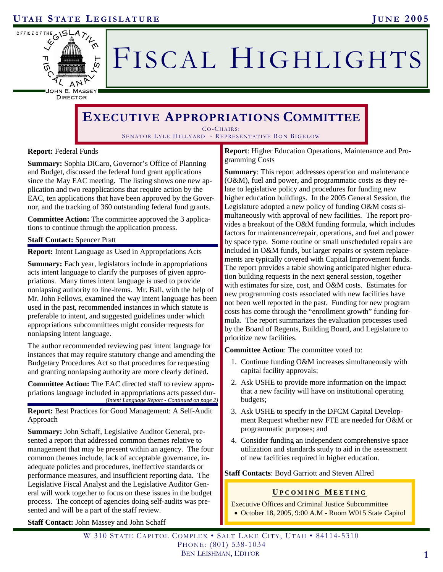

# FISCAL HIGHLIGHTS

DIRECTOR

# **EXECUTIVE APPROPRIATIONS COMMITTEE**

CO-CHAIRS: SENATOR LYLE HILLYARD - REPRESENTATIVE RON BIGELOW

### **Report:** Federal Funds

**Summary:** Sophia DiCaro, Governor's Office of Planning and Budget, discussed the federal fund grant applications since the May EAC meeting. The listing shows one new application and two reapplications that require action by the EAC, ten applications that have been approved by the Governor, and the tracking of 360 outstanding federal fund grants.

**Committee Action:** The committee approved the 3 applications to continue through the application process.

### **Staff Contact:** Spencer Pratt

**Report:** Intent Language as Used in Appropriations Acts

**Summary:** Each year, legislators include in appropriations acts intent language to clarify the purposes of given appropriations. Many times intent language is used to provide nonlapsing authority to line-items. Mr. Ball, with the help of Mr. John Fellows, examined the way intent language has been used in the past, recommended instances in which statute is preferable to intent, and suggested guidelines under which appropriations subcommittees might consider requests for nonlapsing intent language.

The author recommended reviewing past intent language for instances that may require statutory change and amending the Budgetary Procedures Act so that procedures for requesting and granting nonlapsing authority are more clearly defined.

**Committee Action:** The EAC directed staff to review appropriations language included in appropriations acts passed dur- *(Intent Language Report - Continued on page 2)* 

**Report:** Best Practices for Good Management: A Self-Audit Approach

**Summary:** John Schaff, Legislative Auditor General, presented a report that addressed common themes relative to management that may be present within an agency. The four common themes include, lack of acceptable governance, inadequate policies and procedures, ineffective standards or performance measures, and insufficient reporting data. The Legislative Fiscal Analyst and the Legislative Auditor General will work together to focus on these issues in the budget process. The concept of agencies doing self-audits was presented and will be a part of the staff review.

**Report**: Higher Education Operations, Maintenance and Programming Costs

**Summary**: This report addresses operation and maintenance (O&M), fuel and power, and programmatic costs as they relate to legislative policy and procedures for funding new higher education buildings. In the 2005 General Session, the Legislature adopted a new policy of funding O&M costs simultaneously with approval of new facilities. The report provides a breakout of the O&M funding formula, which includes factors for maintenance/repair, operations, and fuel and power by space type. Some routine or small unscheduled repairs are included in O&M funds, but larger repairs or system replacements are typically covered with Capital Improvement funds. The report provides a table showing anticipated higher education building requests in the next general session, together with estimates for size, cost, and O&M costs. Estimates for new programming costs associated with new facilities have not been well reported in the past. Funding for new program costs has come through the "enrollment growth" funding formula. The report summarizes the evaluation processes used by the Board of Regents, Building Board, and Legislature to prioritize new facilities.

**Committee Action**: The committee voted to:

- 1. Continue funding O&M increases simultaneously with capital facility approvals;
- 2. Ask USHE to provide more information on the impact that a new facility will have on institutional operating budgets;
- 3. Ask USHE to specify in the DFCM Capital Development Request whether new FTE are needed for O&M or programmatic purposes; and
- 4. Consider funding an independent comprehensive space utilization and standards study to aid in the assessment of new facilities required in higher education.

### **Staff Contacts**: Boyd Garriott and Steven Allred

### **U PCOMING M EETING**

Executive Offices and Criminal Justice Subcommittee • October 18, 2005, 9:00 A.M - Room W015 State Capitol

**Staff Contact:** John Massey and John Schaff